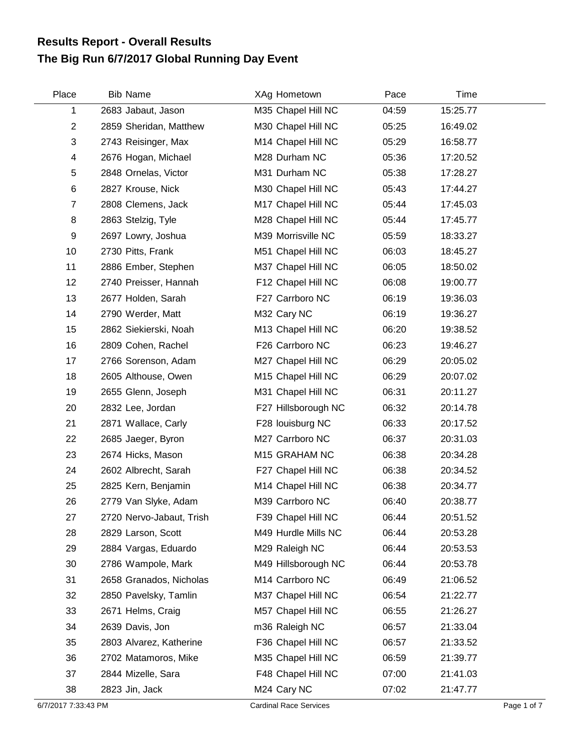## **The Big Run 6/7/2017 Global Running Day Event Results Report - Overall Results**

| Place          | <b>Bib Name</b>          | XAg Hometown        | Pace  | Time     |
|----------------|--------------------------|---------------------|-------|----------|
| 1              | 2683 Jabaut, Jason       | M35 Chapel Hill NC  | 04:59 | 15:25.77 |
| $\overline{c}$ | 2859 Sheridan, Matthew   | M30 Chapel Hill NC  | 05:25 | 16:49.02 |
| 3              | 2743 Reisinger, Max      | M14 Chapel Hill NC  | 05:29 | 16:58.77 |
| 4              | 2676 Hogan, Michael      | M28 Durham NC       | 05:36 | 17:20.52 |
| 5              | 2848 Ornelas, Victor     | M31 Durham NC       | 05:38 | 17:28.27 |
| 6              | 2827 Krouse, Nick        | M30 Chapel Hill NC  | 05:43 | 17:44.27 |
| $\overline{7}$ | 2808 Clemens, Jack       | M17 Chapel Hill NC  | 05:44 | 17:45.03 |
| 8              | 2863 Stelzig, Tyle       | M28 Chapel Hill NC  | 05:44 | 17:45.77 |
| 9              | 2697 Lowry, Joshua       | M39 Morrisville NC  | 05:59 | 18:33.27 |
| 10             | 2730 Pitts, Frank        | M51 Chapel Hill NC  | 06:03 | 18:45.27 |
| 11             | 2886 Ember, Stephen      | M37 Chapel Hill NC  | 06:05 | 18:50.02 |
| 12             | 2740 Preisser, Hannah    | F12 Chapel Hill NC  | 06:08 | 19:00.77 |
| 13             | 2677 Holden, Sarah       | F27 Carrboro NC     | 06:19 | 19:36.03 |
| 14             | 2790 Werder, Matt        | M32 Cary NC         | 06:19 | 19:36.27 |
| 15             | 2862 Siekierski, Noah    | M13 Chapel Hill NC  | 06:20 | 19:38.52 |
| 16             | 2809 Cohen, Rachel       | F26 Carrboro NC     | 06:23 | 19:46.27 |
| 17             | 2766 Sorenson, Adam      | M27 Chapel Hill NC  | 06:29 | 20:05.02 |
| 18             | 2605 Althouse, Owen      | M15 Chapel Hill NC  | 06:29 | 20:07.02 |
| 19             | 2655 Glenn, Joseph       | M31 Chapel Hill NC  | 06:31 | 20:11.27 |
| 20             | 2832 Lee, Jordan         | F27 Hillsborough NC | 06:32 | 20:14.78 |
| 21             | 2871 Wallace, Carly      | F28 louisburg NC    | 06:33 | 20:17.52 |
| 22             | 2685 Jaeger, Byron       | M27 Carrboro NC     | 06:37 | 20:31.03 |
| 23             | 2674 Hicks, Mason        | M15 GRAHAM NC       | 06:38 | 20:34.28 |
| 24             | 2602 Albrecht, Sarah     | F27 Chapel Hill NC  | 06:38 | 20:34.52 |
| 25             | 2825 Kern, Benjamin      | M14 Chapel Hill NC  | 06:38 | 20:34.77 |
| 26             | 2779 Van Slyke, Adam     | M39 Carrboro NC     | 06:40 | 20:38.77 |
| 27             | 2720 Nervo-Jabaut, Trish | F39 Chapel Hill NC  | 06:44 | 20:51.52 |
| 28             | 2829 Larson, Scott       | M49 Hurdle Mills NC | 06:44 | 20:53.28 |
| 29             | 2884 Vargas, Eduardo     | M29 Raleigh NC      | 06:44 | 20:53.53 |
| 30             | 2786 Wampole, Mark       | M49 Hillsborough NC | 06:44 | 20:53.78 |
| 31             | 2658 Granados, Nicholas  | M14 Carrboro NC     | 06:49 | 21:06.52 |
| 32             | 2850 Pavelsky, Tamlin    | M37 Chapel Hill NC  | 06:54 | 21:22.77 |
| 33             | 2671 Helms, Craig        | M57 Chapel Hill NC  | 06:55 | 21:26.27 |
| 34             | 2639 Davis, Jon          | m36 Raleigh NC      | 06:57 | 21:33.04 |
| 35             | 2803 Alvarez, Katherine  | F36 Chapel Hill NC  | 06:57 | 21:33.52 |
| 36             | 2702 Matamoros, Mike     | M35 Chapel Hill NC  | 06:59 | 21:39.77 |
| 37             | 2844 Mizelle, Sara       | F48 Chapel Hill NC  | 07:00 | 21:41.03 |
| 38             | 2823 Jin, Jack           | M24 Cary NC         | 07:02 | 21:47.77 |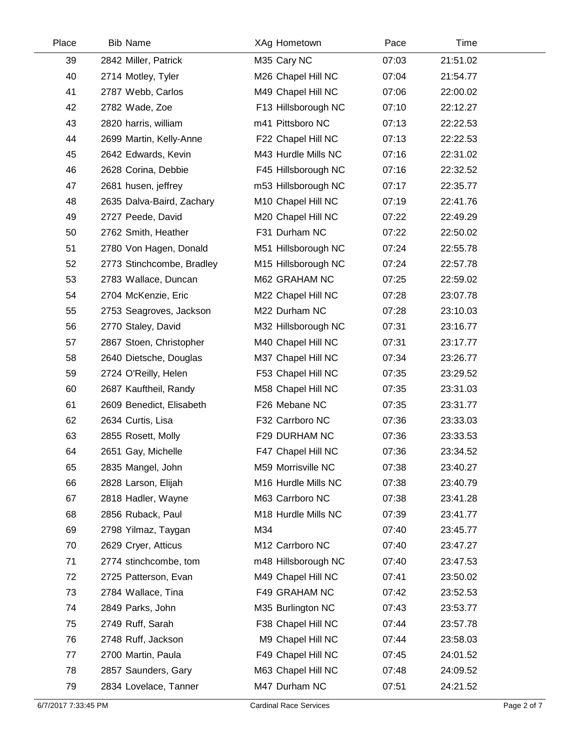| Place | <b>Bib Name</b>           | XAg Hometown        | Pace  | Time     |  |
|-------|---------------------------|---------------------|-------|----------|--|
| 39    | 2842 Miller, Patrick      | M35 Cary NC         | 07:03 | 21:51.02 |  |
| 40    | 2714 Motley, Tyler        | M26 Chapel Hill NC  | 07:04 | 21:54.77 |  |
| 41    | 2787 Webb, Carlos         | M49 Chapel Hill NC  | 07:06 | 22:00.02 |  |
| 42    | 2782 Wade, Zoe            | F13 Hillsborough NC | 07:10 | 22:12.27 |  |
| 43    | 2820 harris, william      | m41 Pittsboro NC    | 07:13 | 22:22.53 |  |
| 44    | 2699 Martin, Kelly-Anne   | F22 Chapel Hill NC  | 07:13 | 22:22.53 |  |
| 45    | 2642 Edwards, Kevin       | M43 Hurdle Mills NC | 07:16 | 22:31.02 |  |
| 46    | 2628 Corina, Debbie       | F45 Hillsborough NC | 07:16 | 22:32.52 |  |
| 47    | 2681 husen, jeffrey       | m53 Hillsborough NC | 07:17 | 22:35.77 |  |
| 48    | 2635 Dalva-Baird, Zachary | M10 Chapel Hill NC  | 07:19 | 22:41.76 |  |
| 49    | 2727 Peede, David         | M20 Chapel Hill NC  | 07:22 | 22:49.29 |  |
| 50    | 2762 Smith, Heather       | F31 Durham NC       | 07:22 | 22:50.02 |  |
| 51    | 2780 Von Hagen, Donald    | M51 Hillsborough NC | 07:24 | 22:55.78 |  |
| 52    | 2773 Stinchcombe, Bradley | M15 Hillsborough NC | 07:24 | 22:57.78 |  |
| 53    | 2783 Wallace, Duncan      | M62 GRAHAM NC       | 07:25 | 22:59.02 |  |
| 54    | 2704 McKenzie, Eric       | M22 Chapel Hill NC  | 07:28 | 23:07.78 |  |
| 55    | 2753 Seagroves, Jackson   | M22 Durham NC       | 07:28 | 23:10.03 |  |
| 56    | 2770 Staley, David        | M32 Hillsborough NC | 07:31 | 23:16.77 |  |
| 57    | 2867 Stoen, Christopher   | M40 Chapel Hill NC  | 07:31 | 23:17.77 |  |
| 58    | 2640 Dietsche, Douglas    | M37 Chapel Hill NC  | 07:34 | 23:26.77 |  |
| 59    | 2724 O'Reilly, Helen      | F53 Chapel Hill NC  | 07:35 | 23:29.52 |  |
| 60    | 2687 Kauftheil, Randy     | M58 Chapel Hill NC  | 07:35 | 23:31.03 |  |
| 61    | 2609 Benedict, Elisabeth  | F26 Mebane NC       | 07:35 | 23:31.77 |  |
| 62    | 2634 Curtis, Lisa         | F32 Carrboro NC     | 07:36 | 23:33.03 |  |
| 63    | 2855 Rosett, Molly        | F29 DURHAM NC       | 07:36 | 23:33.53 |  |
| 64    | 2651 Gay, Michelle        | F47 Chapel Hill NC  | 07:36 | 23:34.52 |  |
| 65    | 2835 Mangel, John         | M59 Morrisville NC  | 07:38 | 23:40.27 |  |
| 66    | 2828 Larson, Elijah       | M16 Hurdle Mills NC | 07:38 | 23:40.79 |  |
| 67    | 2818 Hadler, Wayne        | M63 Carrboro NC     | 07:38 | 23:41.28 |  |
| 68    | 2856 Ruback, Paul         | M18 Hurdle Mills NC | 07:39 | 23:41.77 |  |
| 69    | 2798 Yilmaz, Taygan       | M34                 | 07:40 | 23:45.77 |  |
| 70    | 2629 Cryer, Atticus       | M12 Carrboro NC     | 07:40 | 23:47.27 |  |
| 71    | 2774 stinchcombe, tom     | m48 Hillsborough NC | 07:40 | 23:47.53 |  |
| 72    | 2725 Patterson, Evan      | M49 Chapel Hill NC  | 07:41 | 23:50.02 |  |
| 73    | 2784 Wallace, Tina        | F49 GRAHAM NC       | 07:42 | 23:52.53 |  |
| 74    | 2849 Parks, John          | M35 Burlington NC   | 07:43 | 23:53.77 |  |
| 75    | 2749 Ruff, Sarah          | F38 Chapel Hill NC  | 07:44 | 23:57.78 |  |
| 76    | 2748 Ruff, Jackson        | M9 Chapel Hill NC   | 07:44 | 23:58.03 |  |
| 77    | 2700 Martin, Paula        | F49 Chapel Hill NC  | 07:45 | 24:01.52 |  |
| 78    | 2857 Saunders, Gary       | M63 Chapel Hill NC  | 07:48 | 24:09.52 |  |
| 79    | 2834 Lovelace, Tanner     | M47 Durham NC       | 07:51 | 24:21.52 |  |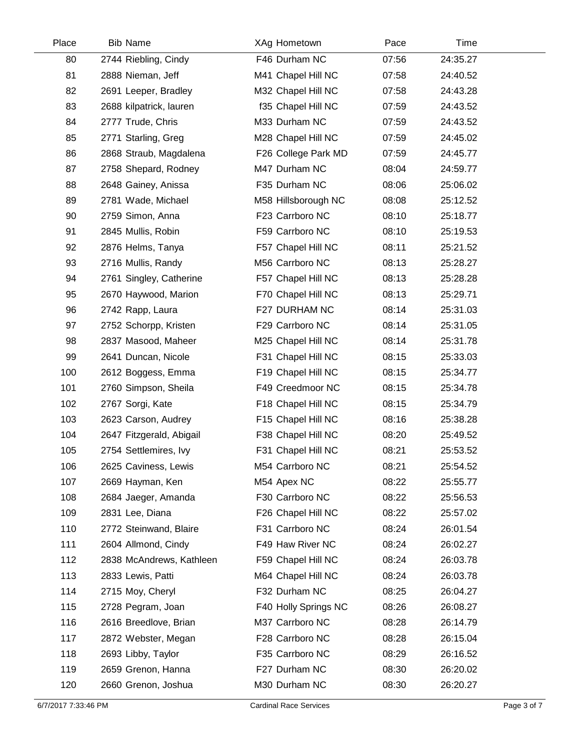| <b>Bib Name</b>          | XAg Hometown         | Pace  | Time     |  |
|--------------------------|----------------------|-------|----------|--|
| 2744 Riebling, Cindy     | F46 Durham NC        | 07:56 | 24:35.27 |  |
| 2888 Nieman, Jeff        | M41 Chapel Hill NC   | 07:58 | 24:40.52 |  |
| 2691 Leeper, Bradley     | M32 Chapel Hill NC   | 07:58 | 24:43.28 |  |
| 2688 kilpatrick, lauren  | f35 Chapel Hill NC   | 07:59 | 24:43.52 |  |
| 2777 Trude, Chris        | M33 Durham NC        | 07:59 | 24:43.52 |  |
| 2771 Starling, Greg      | M28 Chapel Hill NC   | 07:59 | 24:45.02 |  |
| 2868 Straub, Magdalena   | F26 College Park MD  | 07:59 | 24:45.77 |  |
| 2758 Shepard, Rodney     | M47 Durham NC        | 08:04 | 24:59.77 |  |
| 2648 Gainey, Anissa      | F35 Durham NC        | 08:06 | 25:06.02 |  |
| 2781 Wade, Michael       | M58 Hillsborough NC  | 08:08 | 25:12.52 |  |
| 2759 Simon, Anna         | F23 Carrboro NC      | 08:10 | 25:18.77 |  |
| 2845 Mullis, Robin       | F59 Carrboro NC      | 08:10 | 25:19.53 |  |
| 2876 Helms, Tanya        | F57 Chapel Hill NC   | 08:11 | 25:21.52 |  |
| 2716 Mullis, Randy       | M56 Carrboro NC      | 08:13 | 25:28.27 |  |
| 2761 Singley, Catherine  | F57 Chapel Hill NC   | 08:13 | 25:28.28 |  |
| 2670 Haywood, Marion     | F70 Chapel Hill NC   | 08:13 | 25:29.71 |  |
| 2742 Rapp, Laura         | F27 DURHAM NC        | 08:14 | 25:31.03 |  |
| 2752 Schorpp, Kristen    | F29 Carrboro NC      | 08:14 | 25:31.05 |  |
| 2837 Masood, Maheer      | M25 Chapel Hill NC   | 08:14 | 25:31.78 |  |
| 2641 Duncan, Nicole      | F31 Chapel Hill NC   | 08:15 | 25:33.03 |  |
| 2612 Boggess, Emma       | F19 Chapel Hill NC   | 08:15 | 25:34.77 |  |
| 2760 Simpson, Sheila     | F49 Creedmoor NC     | 08:15 | 25:34.78 |  |
| 2767 Sorgi, Kate         | F18 Chapel Hill NC   | 08:15 | 25:34.79 |  |
| 2623 Carson, Audrey      | F15 Chapel Hill NC   | 08:16 | 25:38.28 |  |
| 2647 Fitzgerald, Abigail | F38 Chapel Hill NC   | 08:20 | 25:49.52 |  |
| 2754 Settlemires, Ivy    | F31 Chapel Hill NC   | 08:21 | 25:53.52 |  |
| 2625 Caviness, Lewis     | M54 Carrboro NC      | 08:21 | 25:54.52 |  |
| 2669 Hayman, Ken         | M54 Apex NC          | 08:22 | 25:55.77 |  |
| 2684 Jaeger, Amanda      | F30 Carrboro NC      | 08:22 | 25:56.53 |  |
| 2831 Lee, Diana          | F26 Chapel Hill NC   | 08:22 | 25:57.02 |  |
| 2772 Steinwand, Blaire   | F31 Carrboro NC      | 08:24 | 26:01.54 |  |
| 2604 Allmond, Cindy      | F49 Haw River NC     | 08:24 | 26:02.27 |  |
| 2838 McAndrews, Kathleen | F59 Chapel Hill NC   | 08:24 | 26:03.78 |  |
| 2833 Lewis, Patti        | M64 Chapel Hill NC   | 08:24 | 26:03.78 |  |
| 2715 Moy, Cheryl         | F32 Durham NC        | 08:25 | 26:04.27 |  |
| 2728 Pegram, Joan        | F40 Holly Springs NC | 08:26 | 26:08.27 |  |
| 2616 Breedlove, Brian    | M37 Carrboro NC      | 08:28 | 26:14.79 |  |
| 2872 Webster, Megan      | F28 Carrboro NC      | 08:28 | 26:15.04 |  |
| 2693 Libby, Taylor       | F35 Carrboro NC      | 08:29 | 26:16.52 |  |
| 2659 Grenon, Hanna       | F27 Durham NC        | 08:30 | 26:20.02 |  |
| 2660 Grenon, Joshua      | M30 Durham NC        | 08:30 | 26:20.27 |  |
|                          |                      |       |          |  |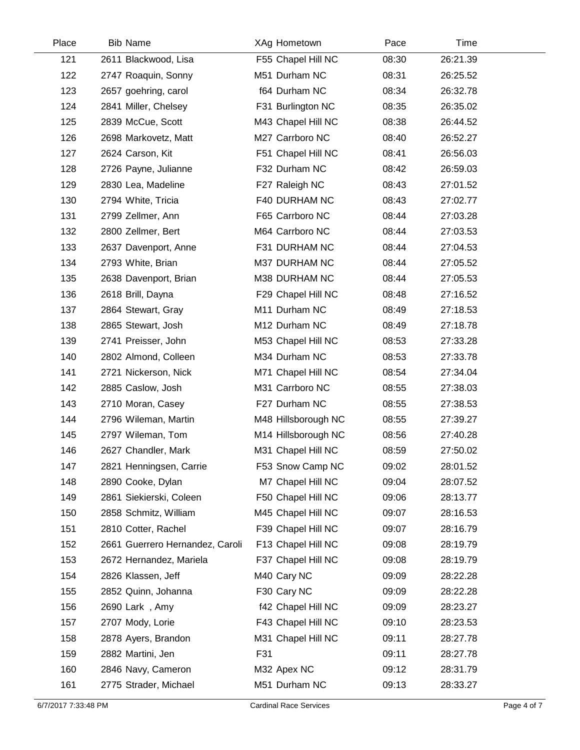| Place | <b>Bib Name</b>                 | XAg Hometown        | Pace  | Time     |  |
|-------|---------------------------------|---------------------|-------|----------|--|
| 121   | 2611 Blackwood, Lisa            | F55 Chapel Hill NC  | 08:30 | 26:21.39 |  |
| 122   | 2747 Roaquin, Sonny             | M51 Durham NC       | 08:31 | 26:25.52 |  |
| 123   | 2657 goehring, carol            | f64 Durham NC       | 08:34 | 26:32.78 |  |
| 124   | 2841 Miller, Chelsey            | F31 Burlington NC   | 08:35 | 26:35.02 |  |
| 125   | 2839 McCue, Scott               | M43 Chapel Hill NC  | 08:38 | 26:44.52 |  |
| 126   | 2698 Markovetz, Matt            | M27 Carrboro NC     | 08:40 | 26:52.27 |  |
| 127   | 2624 Carson, Kit                | F51 Chapel Hill NC  | 08:41 | 26:56.03 |  |
| 128   | 2726 Payne, Julianne            | F32 Durham NC       | 08:42 | 26:59.03 |  |
| 129   | 2830 Lea, Madeline              | F27 Raleigh NC      | 08:43 | 27:01.52 |  |
| 130   | 2794 White, Tricia              | F40 DURHAM NC       | 08:43 | 27:02.77 |  |
| 131   | 2799 Zellmer, Ann               | F65 Carrboro NC     | 08:44 | 27:03.28 |  |
| 132   | 2800 Zellmer, Bert              | M64 Carrboro NC     | 08:44 | 27:03.53 |  |
| 133   | 2637 Davenport, Anne            | F31 DURHAM NC       | 08:44 | 27:04.53 |  |
| 134   | 2793 White, Brian               | M37 DURHAM NC       | 08:44 | 27:05.52 |  |
| 135   | 2638 Davenport, Brian           | M38 DURHAM NC       | 08:44 | 27:05.53 |  |
| 136   | 2618 Brill, Dayna               | F29 Chapel Hill NC  | 08:48 | 27:16.52 |  |
| 137   | 2864 Stewart, Gray              | M11 Durham NC       | 08:49 | 27:18.53 |  |
| 138   | 2865 Stewart, Josh              | M12 Durham NC       | 08:49 | 27:18.78 |  |
| 139   | 2741 Preisser, John             | M53 Chapel Hill NC  | 08:53 | 27:33.28 |  |
| 140   | 2802 Almond, Colleen            | M34 Durham NC       | 08:53 | 27:33.78 |  |
| 141   | 2721 Nickerson, Nick            | M71 Chapel Hill NC  | 08:54 | 27:34.04 |  |
| 142   | 2885 Caslow, Josh               | M31 Carrboro NC     | 08:55 | 27:38.03 |  |
| 143   | 2710 Moran, Casey               | F27 Durham NC       | 08:55 | 27:38.53 |  |
| 144   | 2796 Wileman, Martin            | M48 Hillsborough NC | 08:55 | 27:39.27 |  |
| 145   | 2797 Wileman, Tom               | M14 Hillsborough NC | 08:56 | 27:40.28 |  |
| 146   | 2627 Chandler, Mark             | M31 Chapel Hill NC  | 08:59 | 27:50.02 |  |
| 147   | 2821 Henningsen, Carrie         | F53 Snow Camp NC    | 09:02 | 28:01.52 |  |
| 148   | 2890 Cooke, Dylan               | M7 Chapel Hill NC   | 09:04 | 28:07.52 |  |
| 149   | 2861 Siekierski, Coleen         | F50 Chapel Hill NC  | 09:06 | 28:13.77 |  |
| 150   | 2858 Schmitz, William           | M45 Chapel Hill NC  | 09:07 | 28:16.53 |  |
| 151   | 2810 Cotter, Rachel             | F39 Chapel Hill NC  | 09:07 | 28:16.79 |  |
| 152   | 2661 Guerrero Hernandez, Caroli | F13 Chapel Hill NC  | 09:08 | 28:19.79 |  |
| 153   | 2672 Hernandez, Mariela         | F37 Chapel Hill NC  | 09:08 | 28:19.79 |  |
| 154   | 2826 Klassen, Jeff              | M40 Cary NC         | 09:09 | 28:22.28 |  |
| 155   | 2852 Quinn, Johanna             | F30 Cary NC         | 09:09 | 28:22.28 |  |
| 156   | 2690 Lark, Amy                  | f42 Chapel Hill NC  | 09:09 | 28:23.27 |  |
| 157   | 2707 Mody, Lorie                | F43 Chapel Hill NC  | 09:10 | 28:23.53 |  |
| 158   | 2878 Ayers, Brandon             | M31 Chapel Hill NC  | 09:11 | 28:27.78 |  |
| 159   | 2882 Martini, Jen               | F31                 | 09:11 | 28:27.78 |  |
| 160   | 2846 Navy, Cameron              | M32 Apex NC         | 09:12 | 28:31.79 |  |
| 161   | 2775 Strader, Michael           | M51 Durham NC       | 09:13 | 28:33.27 |  |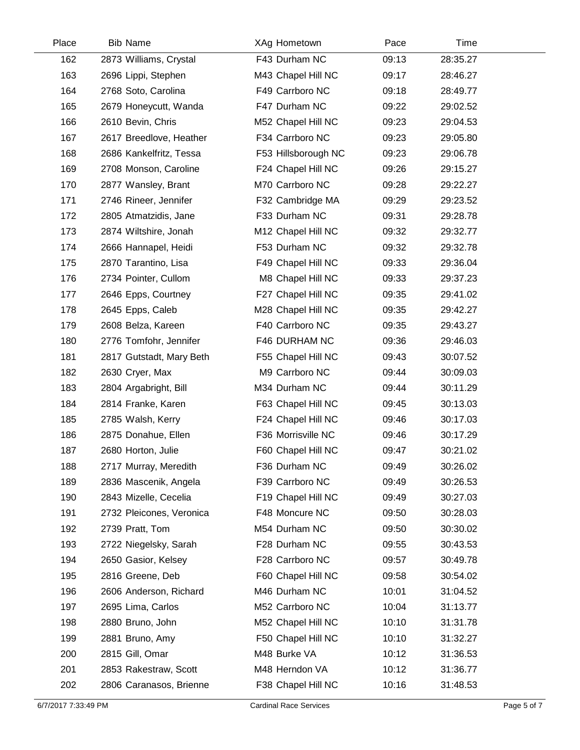| Place | <b>Bib Name</b>          | XAg Hometown        | Pace  | Time     |  |
|-------|--------------------------|---------------------|-------|----------|--|
| 162   | 2873 Williams, Crystal   | F43 Durham NC       | 09:13 | 28:35.27 |  |
| 163   | 2696 Lippi, Stephen      | M43 Chapel Hill NC  | 09:17 | 28:46.27 |  |
| 164   | 2768 Soto, Carolina      | F49 Carrboro NC     | 09:18 | 28:49.77 |  |
| 165   | 2679 Honeycutt, Wanda    | F47 Durham NC       | 09:22 | 29:02.52 |  |
| 166   | 2610 Bevin, Chris        | M52 Chapel Hill NC  | 09:23 | 29:04.53 |  |
| 167   | 2617 Breedlove, Heather  | F34 Carrboro NC     | 09:23 | 29:05.80 |  |
| 168   | 2686 Kankelfritz, Tessa  | F53 Hillsborough NC | 09:23 | 29:06.78 |  |
| 169   | 2708 Monson, Caroline    | F24 Chapel Hill NC  | 09:26 | 29:15.27 |  |
| 170   | 2877 Wansley, Brant      | M70 Carrboro NC     | 09:28 | 29:22.27 |  |
| 171   | 2746 Rineer, Jennifer    | F32 Cambridge MA    | 09:29 | 29:23.52 |  |
| 172   | 2805 Atmatzidis, Jane    | F33 Durham NC       | 09:31 | 29:28.78 |  |
| 173   | 2874 Wiltshire, Jonah    | M12 Chapel Hill NC  | 09:32 | 29:32.77 |  |
| 174   | 2666 Hannapel, Heidi     | F53 Durham NC       | 09:32 | 29:32.78 |  |
| 175   | 2870 Tarantino, Lisa     | F49 Chapel Hill NC  | 09:33 | 29:36.04 |  |
| 176   | 2734 Pointer, Cullom     | M8 Chapel Hill NC   | 09:33 | 29:37.23 |  |
| 177   | 2646 Epps, Courtney      | F27 Chapel Hill NC  | 09:35 | 29:41.02 |  |
| 178   | 2645 Epps, Caleb         | M28 Chapel Hill NC  | 09:35 | 29:42.27 |  |
| 179   | 2608 Belza, Kareen       | F40 Carrboro NC     | 09:35 | 29:43.27 |  |
| 180   | 2776 Tomfohr, Jennifer   | F46 DURHAM NC       | 09:36 | 29:46.03 |  |
| 181   | 2817 Gutstadt, Mary Beth | F55 Chapel Hill NC  | 09:43 | 30:07.52 |  |
| 182   | 2630 Cryer, Max          | M9 Carrboro NC      | 09:44 | 30:09.03 |  |
| 183   | 2804 Argabright, Bill    | M34 Durham NC       | 09:44 | 30:11.29 |  |
| 184   | 2814 Franke, Karen       | F63 Chapel Hill NC  | 09:45 | 30:13.03 |  |
| 185   | 2785 Walsh, Kerry        | F24 Chapel Hill NC  | 09:46 | 30:17.03 |  |
| 186   | 2875 Donahue, Ellen      | F36 Morrisville NC  | 09:46 | 30:17.29 |  |
| 187   | 2680 Horton, Julie       | F60 Chapel Hill NC  | 09:47 | 30:21.02 |  |
| 188   | 2717 Murray, Meredith    | F36 Durham NC       | 09:49 | 30:26.02 |  |
| 189   | 2836 Mascenik, Angela    | F39 Carrboro NC     | 09:49 | 30:26.53 |  |
| 190   | 2843 Mizelle, Cecelia    | F19 Chapel Hill NC  | 09:49 | 30:27.03 |  |
| 191   | 2732 Pleicones, Veronica | F48 Moncure NC      | 09:50 | 30:28.03 |  |
| 192   | 2739 Pratt, Tom          | M54 Durham NC       | 09:50 | 30:30.02 |  |
| 193   | 2722 Niegelsky, Sarah    | F28 Durham NC       | 09:55 | 30:43.53 |  |
| 194   | 2650 Gasior, Kelsey      | F28 Carrboro NC     | 09:57 | 30:49.78 |  |
| 195   | 2816 Greene, Deb         | F60 Chapel Hill NC  | 09:58 | 30:54.02 |  |
| 196   | 2606 Anderson, Richard   | M46 Durham NC       | 10:01 | 31:04.52 |  |
| 197   | 2695 Lima, Carlos        | M52 Carrboro NC     | 10:04 | 31:13.77 |  |
| 198   | 2880 Bruno, John         | M52 Chapel Hill NC  | 10:10 | 31:31.78 |  |
| 199   | 2881 Bruno, Amy          | F50 Chapel Hill NC  | 10:10 | 31:32.27 |  |
| 200   | 2815 Gill, Omar          | M48 Burke VA        | 10:12 | 31:36.53 |  |
| 201   | 2853 Rakestraw, Scott    | M48 Herndon VA      | 10:12 | 31:36.77 |  |
| 202   | 2806 Caranasos, Brienne  | F38 Chapel Hill NC  | 10:16 | 31:48.53 |  |
|       |                          |                     |       |          |  |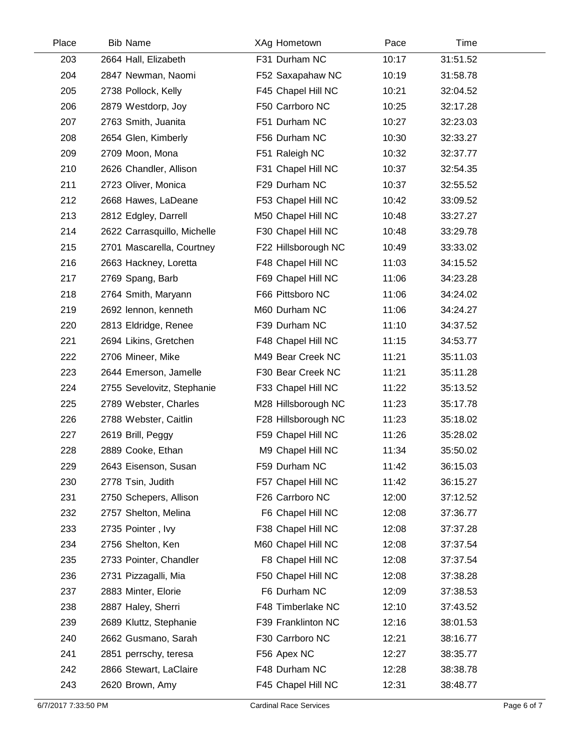| Place | <b>Bib Name</b>             | XAg Hometown        | Pace  | Time     |  |
|-------|-----------------------------|---------------------|-------|----------|--|
| 203   | 2664 Hall, Elizabeth        | F31 Durham NC       | 10:17 | 31:51.52 |  |
| 204   | 2847 Newman, Naomi          | F52 Saxapahaw NC    | 10:19 | 31:58.78 |  |
| 205   | 2738 Pollock, Kelly         | F45 Chapel Hill NC  | 10:21 | 32:04.52 |  |
| 206   | 2879 Westdorp, Joy          | F50 Carrboro NC     | 10:25 | 32:17.28 |  |
| 207   | 2763 Smith, Juanita         | F51 Durham NC       | 10:27 | 32:23.03 |  |
| 208   | 2654 Glen, Kimberly         | F56 Durham NC       | 10:30 | 32:33.27 |  |
| 209   | 2709 Moon, Mona             | F51 Raleigh NC      | 10:32 | 32:37.77 |  |
| 210   | 2626 Chandler, Allison      | F31 Chapel Hill NC  | 10:37 | 32:54.35 |  |
| 211   | 2723 Oliver, Monica         | F29 Durham NC       | 10:37 | 32:55.52 |  |
| 212   | 2668 Hawes, LaDeane         | F53 Chapel Hill NC  | 10:42 | 33:09.52 |  |
| 213   | 2812 Edgley, Darrell        | M50 Chapel Hill NC  | 10:48 | 33:27.27 |  |
| 214   | 2622 Carrasquillo, Michelle | F30 Chapel Hill NC  | 10:48 | 33:29.78 |  |
| 215   | 2701 Mascarella, Courtney   | F22 Hillsborough NC | 10:49 | 33:33.02 |  |
| 216   | 2663 Hackney, Loretta       | F48 Chapel Hill NC  | 11:03 | 34:15.52 |  |
| 217   | 2769 Spang, Barb            | F69 Chapel Hill NC  | 11:06 | 34:23.28 |  |
| 218   | 2764 Smith, Maryann         | F66 Pittsboro NC    | 11:06 | 34:24.02 |  |
| 219   | 2692 lennon, kenneth        | M60 Durham NC       | 11:06 | 34:24.27 |  |
| 220   | 2813 Eldridge, Renee        | F39 Durham NC       | 11:10 | 34:37.52 |  |
| 221   | 2694 Likins, Gretchen       | F48 Chapel Hill NC  | 11:15 | 34:53.77 |  |
| 222   | 2706 Mineer, Mike           | M49 Bear Creek NC   | 11:21 | 35:11.03 |  |
| 223   | 2644 Emerson, Jamelle       | F30 Bear Creek NC   | 11:21 | 35:11.28 |  |
| 224   | 2755 Sevelovitz, Stephanie  | F33 Chapel Hill NC  | 11:22 | 35:13.52 |  |
| 225   | 2789 Webster, Charles       | M28 Hillsborough NC | 11:23 | 35:17.78 |  |
| 226   | 2788 Webster, Caitlin       | F28 Hillsborough NC | 11:23 | 35:18.02 |  |
| 227   | 2619 Brill, Peggy           | F59 Chapel Hill NC  | 11:26 | 35:28.02 |  |
| 228   | 2889 Cooke, Ethan           | M9 Chapel Hill NC   | 11:34 | 35:50.02 |  |
| 229   | 2643 Eisenson, Susan        | F59 Durham NC       | 11:42 | 36:15.03 |  |
| 230   | 2778 Tsin, Judith           | F57 Chapel Hill NC  | 11:42 | 36:15.27 |  |
| 231   | 2750 Schepers, Allison      | F26 Carrboro NC     | 12:00 | 37:12.52 |  |
| 232   | 2757 Shelton, Melina        | F6 Chapel Hill NC   | 12:08 | 37:36.77 |  |
| 233   | 2735 Pointer, Ivy           | F38 Chapel Hill NC  | 12:08 | 37:37.28 |  |
| 234   | 2756 Shelton, Ken           | M60 Chapel Hill NC  | 12:08 | 37:37.54 |  |
| 235   | 2733 Pointer, Chandler      | F8 Chapel Hill NC   | 12:08 | 37:37.54 |  |
| 236   | 2731 Pizzagalli, Mia        | F50 Chapel Hill NC  | 12:08 | 37:38.28 |  |
| 237   | 2883 Minter, Elorie         | F6 Durham NC        | 12:09 | 37:38.53 |  |
| 238   | 2887 Haley, Sherri          | F48 Timberlake NC   | 12:10 | 37:43.52 |  |
| 239   | 2689 Kluttz, Stephanie      | F39 Franklinton NC  | 12:16 | 38:01.53 |  |
| 240   | 2662 Gusmano, Sarah         | F30 Carrboro NC     | 12:21 | 38:16.77 |  |
| 241   | 2851 perrschy, teresa       | F56 Apex NC         | 12:27 | 38:35.77 |  |
| 242   | 2866 Stewart, LaClaire      | F48 Durham NC       | 12:28 | 38:38.78 |  |
| 243   | 2620 Brown, Amy             | F45 Chapel Hill NC  | 12:31 | 38:48.77 |  |